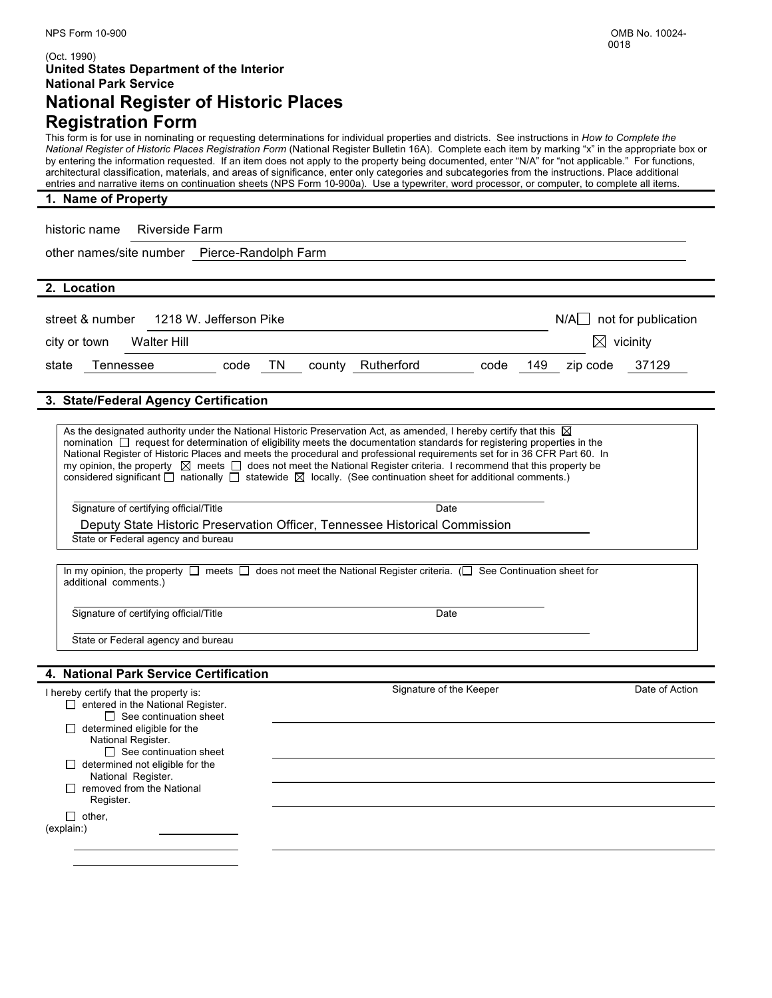## (Oct. 1990) **United States Department of the Interior National Park Service National Register of Historic Places**

# **Registration Form**

This form is for use in nominating or requesting determinations for individual properties and districts. See instructions in *How to Complete the National Register of Historic Places Registration Form* (National Register Bulletin 16A). Complete each item by marking "x" in the appropriate box or by entering the information requested. If an item does not apply to the property being documented, enter "N/A" for "not applicable." For functions, architectural classification, materials, and areas of significance, enter only categories and subcategories from the instructions. Place additional entries and narrative items on continuation sheets (NPS Form 10-900a). Use a typewriter, word processor, or computer, to complete all items.

| 1. Name of Property |  |  |  |  |  |  |  |  |
|---------------------|--|--|--|--|--|--|--|--|
|---------------------|--|--|--|--|--|--|--|--|

historic name Riverside Farm

other names/site number Pierce-Randolph Farm

|  | 2. Location |
|--|-------------|
|--|-------------|

|              | street & number | 1218 W. Jefferson Pike |      |    |                   |      |     | $N/A$ not for publication |       |  |
|--------------|-----------------|------------------------|------|----|-------------------|------|-----|---------------------------|-------|--|
| city or town |                 | Walter Hill            |      |    |                   |      |     | $\boxtimes$ vicinity      |       |  |
| state        | Tennessee       |                        | code | TN | county Rutherford | code | 149 | zip code                  | 37129 |  |

## **3. State/Federal Agency Certification**

| I hereby certify that the property is:                                                                                                                                                                                                                           | Signature of the Keeper                                                                                                                                                                                                                                                                                                                                                                          | Date of Action |
|------------------------------------------------------------------------------------------------------------------------------------------------------------------------------------------------------------------------------------------------------------------|--------------------------------------------------------------------------------------------------------------------------------------------------------------------------------------------------------------------------------------------------------------------------------------------------------------------------------------------------------------------------------------------------|----------------|
| 4. National Park Service Certification                                                                                                                                                                                                                           |                                                                                                                                                                                                                                                                                                                                                                                                  |                |
| State or Federal agency and bureau                                                                                                                                                                                                                               |                                                                                                                                                                                                                                                                                                                                                                                                  |                |
| Signature of certifying official/Title                                                                                                                                                                                                                           | Date                                                                                                                                                                                                                                                                                                                                                                                             |                |
| additional comments.)                                                                                                                                                                                                                                            | In my opinion, the property $\Box$ meets $\Box$ does not meet the National Register criteria. ( $\Box$ See Continuation sheet for                                                                                                                                                                                                                                                                |                |
| State or Federal agency and bureau                                                                                                                                                                                                                               |                                                                                                                                                                                                                                                                                                                                                                                                  |                |
| Deputy State Historic Preservation Officer, Tennessee Historical Commission                                                                                                                                                                                      |                                                                                                                                                                                                                                                                                                                                                                                                  |                |
| Signature of certifying official/Title                                                                                                                                                                                                                           | Date                                                                                                                                                                                                                                                                                                                                                                                             |                |
| As the designated authority under the National Historic Preservation Act, as amended, I hereby certify that this $\boxtimes$<br>considered significant $\Box$ nationally $\Box$ statewide $\boxtimes$ locally. (See continuation sheet for additional comments.) | nomination $\Box$ request for determination of eligibility meets the documentation standards for registering properties in the<br>National Register of Historic Places and meets the procedural and professional requirements set for in 36 CFR Part 60. In<br>my opinion, the property $\boxtimes$ meets $\Box$ does not meet the National Register criteria. I recommend that this property be |                |

 $\Box$  entered in the National Register.  $\Box$  See continuation sheet  $\Box$  determined eligible for the National Register.  $\Box$  See continuation sheet  $\Box$  determined not eligible for the National Register.  $\Box$  removed from the National Register.  $\Box$  other, (explain:)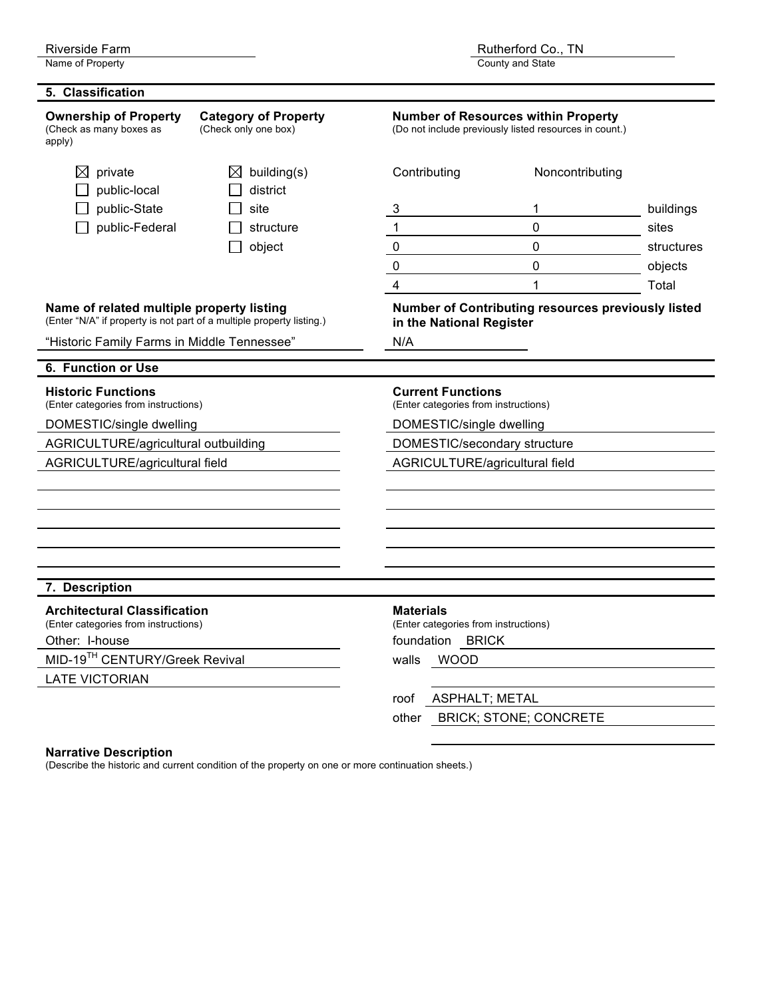County and State

| 5. Classification                                                                                                  |                                                     |                                                                                                      |                                                    |            |  |
|--------------------------------------------------------------------------------------------------------------------|-----------------------------------------------------|------------------------------------------------------------------------------------------------------|----------------------------------------------------|------------|--|
| <b>Ownership of Property</b><br>(Check as many boxes as<br>apply)                                                  | <b>Category of Property</b><br>(Check only one box) | <b>Number of Resources within Property</b><br>(Do not include previously listed resources in count.) |                                                    |            |  |
| private<br>⊠<br>public-local                                                                                       | building(s)<br>$\bowtie$<br>district                | Contributing                                                                                         | Noncontributing                                    |            |  |
| public-State                                                                                                       | site                                                | 3                                                                                                    | 1                                                  | buildings  |  |
| public-Federal                                                                                                     | structure                                           | 1                                                                                                    | $\overline{0}$                                     | sites      |  |
|                                                                                                                    | object                                              | $\pmb{0}$                                                                                            | $\overline{0}$                                     | structures |  |
|                                                                                                                    |                                                     | 0                                                                                                    | $\mathbf 0$                                        | objects    |  |
|                                                                                                                    |                                                     | 4                                                                                                    | 1                                                  | Total      |  |
| Name of related multiple property listing<br>(Enter "N/A" if property is not part of a multiple property listing.) |                                                     | in the National Register                                                                             | Number of Contributing resources previously listed |            |  |
| "Historic Family Farms in Middle Tennessee"                                                                        |                                                     | N/A                                                                                                  |                                                    |            |  |
| 6. Function or Use                                                                                                 |                                                     |                                                                                                      |                                                    |            |  |
| <b>Historic Functions</b><br>(Enter categories from instructions)                                                  |                                                     | <b>Current Functions</b><br>(Enter categories from instructions)                                     |                                                    |            |  |
| DOMESTIC/single dwelling                                                                                           |                                                     | DOMESTIC/single dwelling                                                                             |                                                    |            |  |
| AGRICULTURE/agricultural outbuilding                                                                               |                                                     | DOMESTIC/secondary structure                                                                         |                                                    |            |  |
| AGRICULTURE/agricultural field                                                                                     |                                                     | AGRICULTURE/agricultural field                                                                       |                                                    |            |  |
|                                                                                                                    |                                                     |                                                                                                      |                                                    |            |  |
|                                                                                                                    |                                                     |                                                                                                      |                                                    |            |  |
|                                                                                                                    |                                                     |                                                                                                      |                                                    |            |  |
|                                                                                                                    |                                                     |                                                                                                      |                                                    |            |  |
|                                                                                                                    |                                                     |                                                                                                      |                                                    |            |  |
| 7. Description                                                                                                     |                                                     |                                                                                                      |                                                    |            |  |
| <b>Architectural Classification</b>                                                                                |                                                     | <b>Materials</b>                                                                                     |                                                    |            |  |
| (Enter categories from instructions)<br>Other: I-house                                                             |                                                     | (Enter categories from instructions)<br>foundation BRICK                                             |                                                    |            |  |
| MID-19TH CENTURY/Greek Revival                                                                                     |                                                     |                                                                                                      |                                                    |            |  |
| <b>LATE VICTORIAN</b>                                                                                              |                                                     | WOOD<br>walls                                                                                        |                                                    |            |  |
|                                                                                                                    |                                                     | <b>ASPHALT; METAL</b><br>roof                                                                        |                                                    |            |  |
|                                                                                                                    |                                                     | other                                                                                                | <b>BRICK; STONE; CONCRETE</b>                      |            |  |
|                                                                                                                    |                                                     |                                                                                                      |                                                    |            |  |

## **Narrative Description**

(Describe the historic and current condition of the property on one or more continuation sheets.)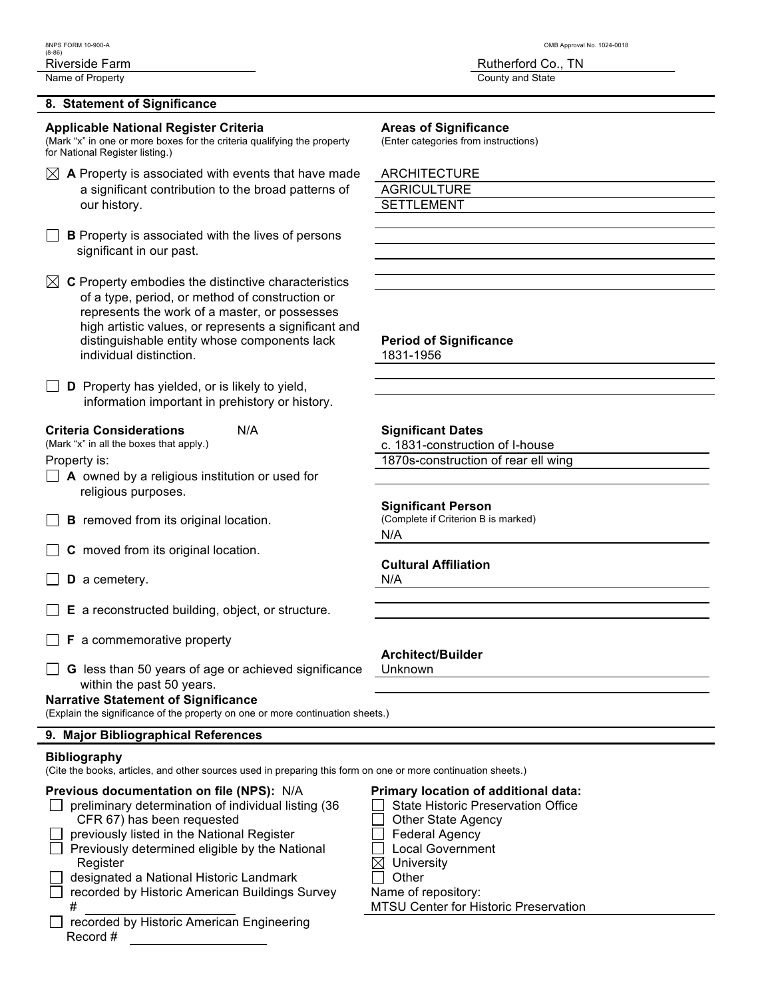### **8. Statement of Significance**

**Applicable National Register Criteria Areas of Significance**<br>(Mark "x" in one or more boxes for the criteria qualifying the property (Enter categories from instructions) (Mark "x" in one or more boxes for the criteria qualifying the property for National Register listing.)

| $\boxtimes$ A Property is associated with events that have made | ARCHITECTURE       |
|-----------------------------------------------------------------|--------------------|
| a significant contribution to the broad patterns of             | <b>AGRICULTURE</b> |
| our history.                                                    | SETTLEMENT         |
|                                                                 |                    |

**B** Property is associated with the lives of persons significant in our past.

| $\boxtimes$ C Property embodies the distinctive characteristics |
|-----------------------------------------------------------------|
| of a type, period, or method of construction or                 |
| represents the work of a master, or possesses                   |
| high artistic values, or represents a significant and           |
| distinguishable entity whose components lack                    |
| individual distinction.                                         |

 $\Box$  **D** Property has yielded, or is likely to yield, information important in prehistory or history.

# **Criteria Considerations**  $N/A$  **Significant Dates**<br>
(Mark "x" in all the boxes that apply.) <br> **C** 1831-construction

- **A** owned by a religious institution or used for religious purposes.
- $\Box$  **B** removed from its original location.
- **C** moved from its original location.
- **D** a cemetery. N/A
- **E** a reconstructed building, object, or structure.
- **F** a commemorative property
- **G** less than 50 years of age or achieved significance Unknown within the past 50 years.

## **Narrative Statement of Significance**

(Explain the significance of the property on one or more continuation sheets.)

#### **9. Major Bibliographical References**

#### **Bibliography**

(Cite the books, articles, and other sources used in preparing this form on one or more continuation sheets.)

### **Previous documentation on file (NPS):** N/A **Primary location of additional data:**

|              | $\Box$ preliminary determination of individual listing (36 |
|--------------|------------------------------------------------------------|
|              | CFR 67) has been requested                                 |
| $\perp$      | previously listed in the National Register                 |
|              | Previously determined eligible by the National             |
|              | Register                                                   |
| $\mathbf{1}$ | designated a National Historic Landmark                    |
| $\mathbf{1}$ | recorded by Historic American Buildings Survey             |
|              |                                                            |

 $\Box$  recorded by Historic American Engineering Record #

#### 8NPS FORM 10-900-A OMB Approval No. 1024-0018

Riverside Farm **Rutherford Co., TN** Name of Property **County and State** 

| ARCHITECTURE |
|--------------|
| AGRICULTURE  |
| SETTI EMENT  |

### **Period of Significance**

1831-1956

c. 1831-construction of I-house

Property is: 1870s-construction of rear ell wing

# **Significant Person**<br>(Complete if Criterion B is marked)

N/A

### **Cultural Affiliation**

## **Architect/Builder**

- $\Box$  State Historic Preservation Office
- $\Box$  Other State Agency
- $\vert \vert$  Federal Agency
- $\Box$  Local Government
- $\boxtimes$  University
- $\Box$  Other Name of repository:

**MTSU Center for Historic Preservation**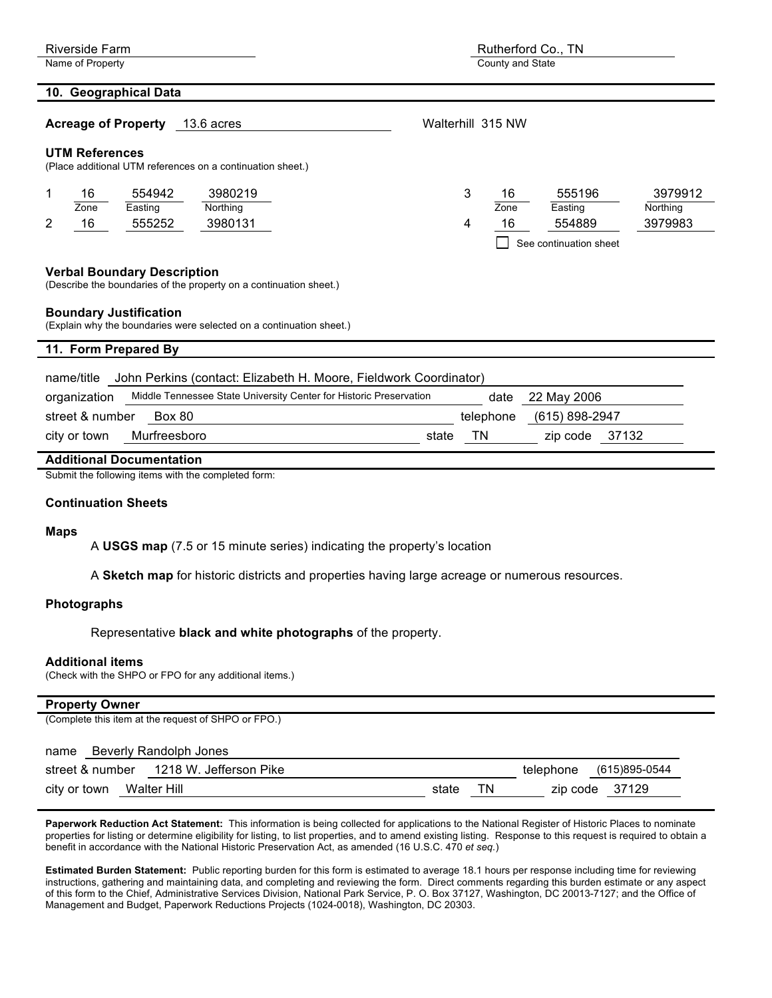| <b>Riverside Farm</b>                                                                                    | Rutherford Co., TN                                          |  |  |  |
|----------------------------------------------------------------------------------------------------------|-------------------------------------------------------------|--|--|--|
| Name of Property<br>County and State                                                                     |                                                             |  |  |  |
| 10. Geographical Data                                                                                    |                                                             |  |  |  |
| <b>Acreage of Property</b><br>13.6 acres                                                                 | Walterhill 315 NW                                           |  |  |  |
| <b>UTM References</b><br>(Place additional UTM references on a continuation sheet.)                      |                                                             |  |  |  |
| 554942<br>3980219<br>16<br>1<br>Zone<br>Easting<br>Northing                                              | 3<br>555196<br>3979912<br>16<br>Easting<br>Northing<br>Zone |  |  |  |
| 2<br>16<br>555252<br>3980131                                                                             | 16<br>554889<br>3979983<br>4<br>See continuation sheet      |  |  |  |
| <b>Verbal Boundary Description</b><br>(Describe the boundaries of the property on a continuation sheet.) |                                                             |  |  |  |
| <b>Boundary Justification</b><br>(Explain why the boundaries were selected on a continuation sheet.)     |                                                             |  |  |  |
| 11. Form Prepared By                                                                                     |                                                             |  |  |  |
| John Perkins (contact: Elizabeth H. Moore, Fieldwork Coordinator)<br>name/title                          |                                                             |  |  |  |
| Middle Tennessee State University Center for Historic Preservation<br>organization                       | 22 May 2006<br>date                                         |  |  |  |
| street & number<br><b>Box 80</b>                                                                         | (615) 898-2947<br>telephone                                 |  |  |  |
| Murfreesboro<br>city or town                                                                             | TN<br>37132<br>state<br>zip code                            |  |  |  |
| <b>Additional Documentation</b>                                                                          |                                                             |  |  |  |

Submit the following items with the completed form:

#### **Continuation Sheets**

#### **Maps**

A **USGS map** (7.5 or 15 minute series) indicating the property's location

A **Sketch map** for historic districts and properties having large acreage or numerous resources.

#### **Photographs**

Representative **black and white photographs** of the property.

#### **Additional items**

(Check with the SHPO or FPO for any additional items.)

#### **Property Owner**

| (Complete this item at the request of SHPO or FPO.) |             |                         |
|-----------------------------------------------------|-------------|-------------------------|
| Beverly Randolph Jones<br>name                      |             |                         |
| street & number 1218 W. Jefferson Pike              |             | telephone (615)895-0544 |
|                                                     | ΤN<br>state | zip code 37129          |

**Paperwork Reduction Act Statement:** This information is being collected for applications to the National Register of Historic Places to nominate properties for listing or determine eligibility for listing, to list properties, and to amend existing listing. Response to this request is required to obtain a benefit in accordance with the National Historic Preservation Act, as amended (16 U.S.C. 470 *et seq.*)

**Estimated Burden Statement:** Public reporting burden for this form is estimated to average 18.1 hours per response including time for reviewing instructions, gathering and maintaining data, and completing and reviewing the form. Direct comments regarding this burden estimate or any aspect of this form to the Chief, Administrative Services Division, National Park Service, P. O. Box 37127, Washington, DC 20013-7127; and the Office of Management and Budget, Paperwork Reductions Projects (1024-0018), Washington, DC 20303.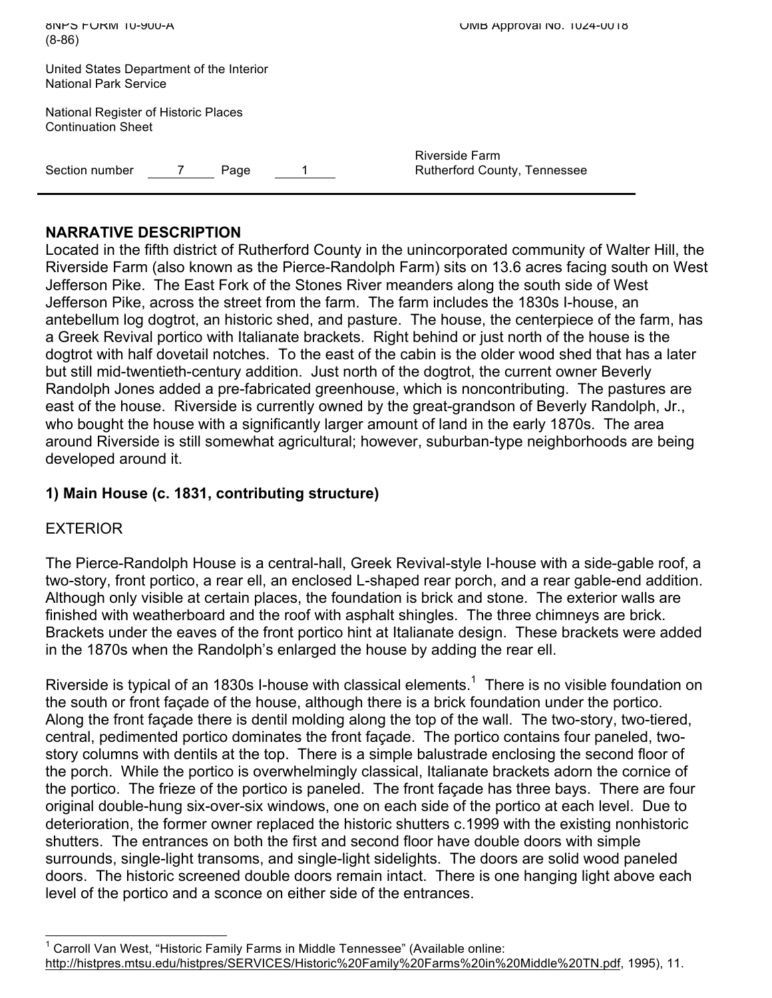| <b>A-UDIO TO HAMILE OF STATE</b><br>$(8-86)$                             | UMB Approval No. 1024-0018                     |
|--------------------------------------------------------------------------|------------------------------------------------|
| United States Department of the Interior<br><b>National Park Service</b> |                                                |
| National Register of Historic Places<br><b>Continuation Sheet</b>        |                                                |
| Section number<br>Page                                                   | Riverside Farm<br>Rutherford County, Tennessee |

## **NARRATIVE DESCRIPTION**

Located in the fifth district of Rutherford County in the unincorporated community of Walter Hill, the Riverside Farm (also known as the Pierce-Randolph Farm) sits on 13.6 acres facing south on West Jefferson Pike. The East Fork of the Stones River meanders along the south side of West Jefferson Pike, across the street from the farm. The farm includes the 1830s I-house, an antebellum log dogtrot, an historic shed, and pasture. The house, the centerpiece of the farm, has a Greek Revival portico with Italianate brackets. Right behind or just north of the house is the dogtrot with half dovetail notches. To the east of the cabin is the older wood shed that has a later but still mid-twentieth-century addition. Just north of the dogtrot, the current owner Beverly Randolph Jones added a pre-fabricated greenhouse, which is noncontributing. The pastures are east of the house. Riverside is currently owned by the great-grandson of Beverly Randolph, Jr., who bought the house with a significantly larger amount of land in the early 1870s. The area around Riverside is still somewhat agricultural; however, suburban-type neighborhoods are being developed around it.

## **1) Main House (c. 1831, contributing structure)**

## EXTERIOR

The Pierce-Randolph House is a central-hall, Greek Revival-style I-house with a side-gable roof, a two-story, front portico, a rear ell, an enclosed L-shaped rear porch, and a rear gable-end addition. Although only visible at certain places, the foundation is brick and stone. The exterior walls are finished with weatherboard and the roof with asphalt shingles. The three chimneys are brick. Brackets under the eaves of the front portico hint at Italianate design. These brackets were added in the 1870s when the Randolph's enlarged the house by adding the rear ell.

Riverside is typical of an 1830s I-house with classical elements.<sup>1</sup> There is no visible foundation on the south or front façade of the house, although there is a brick foundation under the portico. Along the front façade there is dentil molding along the top of the wall. The two-story, two-tiered, central, pedimented portico dominates the front façade. The portico contains four paneled, twostory columns with dentils at the top. There is a simple balustrade enclosing the second floor of the porch. While the portico is overwhelmingly classical, Italianate brackets adorn the cornice of the portico. The frieze of the portico is paneled. The front façade has three bays. There are four original double-hung six-over-six windows, one on each side of the portico at each level. Due to deterioration, the former owner replaced the historic shutters c.1999 with the existing nonhistoric shutters. The entrances on both the first and second floor have double doors with simple surrounds, single-light transoms, and single-light sidelights. The doors are solid wood paneled doors. The historic screened double doors remain intact. There is one hanging light above each level of the portico and a sconce on either side of the entrances.

1 Carroll Van West, "Historic Family Farms in Middle Tennessee" (Available online: http://histpres.mtsu.edu/histpres/SERVICES/Historic%20Family%20Farms%20in%20Middle%20TN.pdf, 1995), 11.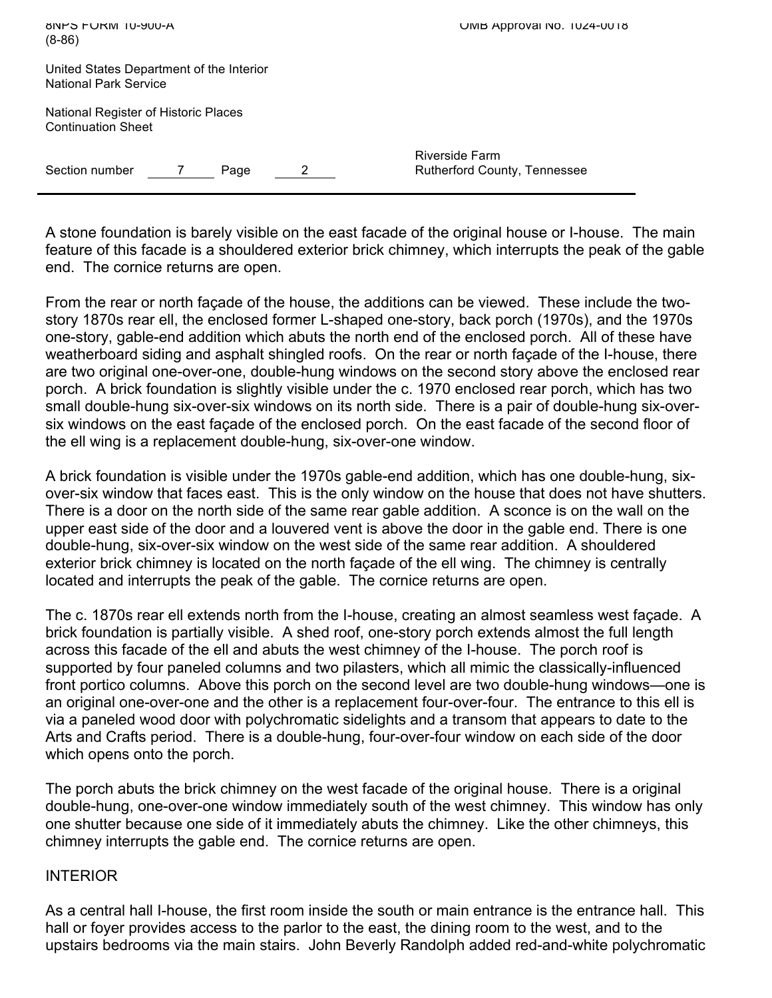| <b>BINHS FURM 10-900-A</b><br>$(8-86)$                                   | UMB Approval No. 1024-0018                     |
|--------------------------------------------------------------------------|------------------------------------------------|
| United States Department of the Interior<br><b>National Park Service</b> |                                                |
| National Register of Historic Places<br><b>Continuation Sheet</b>        |                                                |
| Section number<br>Page                                                   | Riverside Farm<br>Rutherford County, Tennessee |

A stone foundation is barely visible on the east facade of the original house or I-house. The main feature of this facade is a shouldered exterior brick chimney, which interrupts the peak of the gable end. The cornice returns are open.

From the rear or north façade of the house, the additions can be viewed. These include the twostory 1870s rear ell, the enclosed former L-shaped one-story, back porch (1970s), and the 1970s one-story, gable-end addition which abuts the north end of the enclosed porch. All of these have weatherboard siding and asphalt shingled roofs. On the rear or north façade of the I-house, there are two original one-over-one, double-hung windows on the second story above the enclosed rear porch. A brick foundation is slightly visible under the c. 1970 enclosed rear porch, which has two small double-hung six-over-six windows on its north side. There is a pair of double-hung six-oversix windows on the east façade of the enclosed porch. On the east facade of the second floor of the ell wing is a replacement double-hung, six-over-one window.

A brick foundation is visible under the 1970s gable-end addition, which has one double-hung, sixover-six window that faces east. This is the only window on the house that does not have shutters. There is a door on the north side of the same rear gable addition. A sconce is on the wall on the upper east side of the door and a louvered vent is above the door in the gable end. There is one double-hung, six-over-six window on the west side of the same rear addition. A shouldered exterior brick chimney is located on the north façade of the ell wing. The chimney is centrally located and interrupts the peak of the gable. The cornice returns are open.

The c. 1870s rear ell extends north from the I-house, creating an almost seamless west façade. A brick foundation is partially visible. A shed roof, one-story porch extends almost the full length across this facade of the ell and abuts the west chimney of the I-house. The porch roof is supported by four paneled columns and two pilasters, which all mimic the classically-influenced front portico columns. Above this porch on the second level are two double-hung windows—one is an original one-over-one and the other is a replacement four-over-four. The entrance to this ell is via a paneled wood door with polychromatic sidelights and a transom that appears to date to the Arts and Crafts period. There is a double-hung, four-over-four window on each side of the door which opens onto the porch.

The porch abuts the brick chimney on the west facade of the original house. There is a original double-hung, one-over-one window immediately south of the west chimney. This window has only one shutter because one side of it immediately abuts the chimney. Like the other chimneys, this chimney interrupts the gable end. The cornice returns are open.

## INTERIOR

As a central hall I-house, the first room inside the south or main entrance is the entrance hall. This hall or foyer provides access to the parlor to the east, the dining room to the west, and to the upstairs bedrooms via the main stairs. John Beverly Randolph added red-and-white polychromatic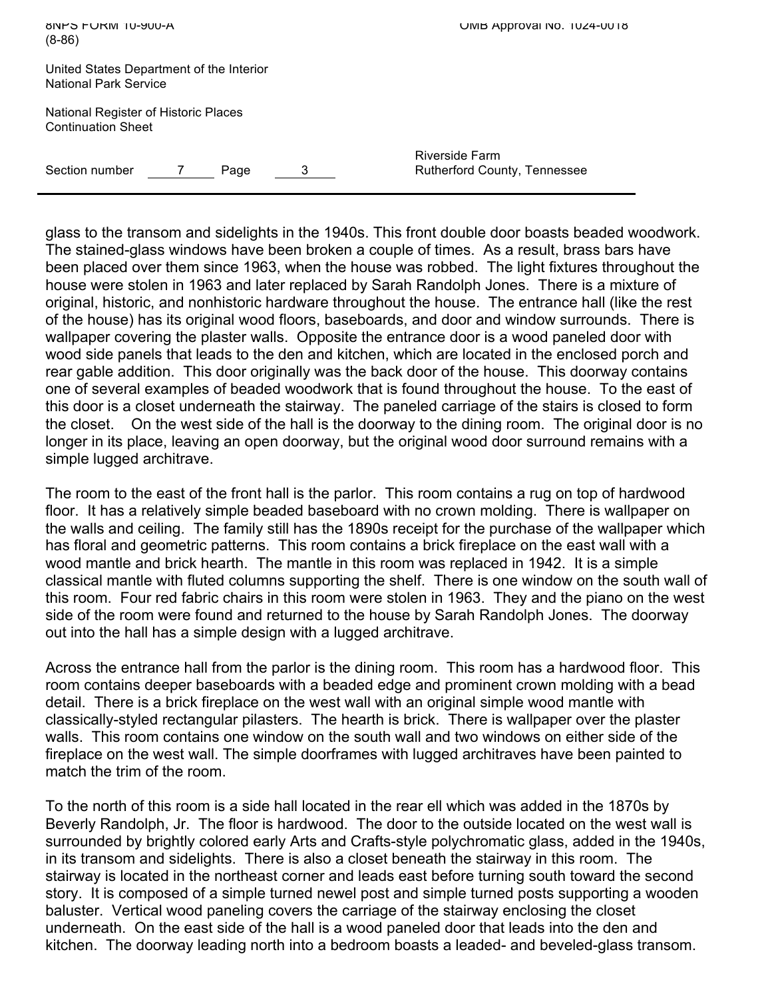| <b>BINPS FURM 10-900-A</b><br>$(8-86)$                                   |   | UMB Approval No. 1024-0018                     |
|--------------------------------------------------------------------------|---|------------------------------------------------|
| United States Department of the Interior<br><b>National Park Service</b> |   |                                                |
| National Register of Historic Places<br><b>Continuation Sheet</b>        |   |                                                |
| Section number<br>Page                                                   | 3 | Riverside Farm<br>Rutherford County, Tennessee |

glass to the transom and sidelights in the 1940s. This front double door boasts beaded woodwork. The stained-glass windows have been broken a couple of times. As a result, brass bars have been placed over them since 1963, when the house was robbed. The light fixtures throughout the house were stolen in 1963 and later replaced by Sarah Randolph Jones. There is a mixture of original, historic, and nonhistoric hardware throughout the house. The entrance hall (like the rest of the house) has its original wood floors, baseboards, and door and window surrounds. There is wallpaper covering the plaster walls. Opposite the entrance door is a wood paneled door with wood side panels that leads to the den and kitchen, which are located in the enclosed porch and rear gable addition. This door originally was the back door of the house. This doorway contains one of several examples of beaded woodwork that is found throughout the house. To the east of this door is a closet underneath the stairway. The paneled carriage of the stairs is closed to form the closet. On the west side of the hall is the doorway to the dining room. The original door is no longer in its place, leaving an open doorway, but the original wood door surround remains with a simple lugged architrave.

The room to the east of the front hall is the parlor. This room contains a rug on top of hardwood floor. It has a relatively simple beaded baseboard with no crown molding. There is wallpaper on the walls and ceiling. The family still has the 1890s receipt for the purchase of the wallpaper which has floral and geometric patterns. This room contains a brick fireplace on the east wall with a wood mantle and brick hearth. The mantle in this room was replaced in 1942. It is a simple classical mantle with fluted columns supporting the shelf. There is one window on the south wall of this room. Four red fabric chairs in this room were stolen in 1963. They and the piano on the west side of the room were found and returned to the house by Sarah Randolph Jones. The doorway out into the hall has a simple design with a lugged architrave.

Across the entrance hall from the parlor is the dining room. This room has a hardwood floor. This room contains deeper baseboards with a beaded edge and prominent crown molding with a bead detail. There is a brick fireplace on the west wall with an original simple wood mantle with classically-styled rectangular pilasters. The hearth is brick. There is wallpaper over the plaster walls. This room contains one window on the south wall and two windows on either side of the fireplace on the west wall. The simple doorframes with lugged architraves have been painted to match the trim of the room.

To the north of this room is a side hall located in the rear ell which was added in the 1870s by Beverly Randolph, Jr. The floor is hardwood. The door to the outside located on the west wall is surrounded by brightly colored early Arts and Crafts-style polychromatic glass, added in the 1940s, in its transom and sidelights. There is also a closet beneath the stairway in this room. The stairway is located in the northeast corner and leads east before turning south toward the second story. It is composed of a simple turned newel post and simple turned posts supporting a wooden baluster. Vertical wood paneling covers the carriage of the stairway enclosing the closet underneath. On the east side of the hall is a wood paneled door that leads into the den and kitchen. The doorway leading north into a bedroom boasts a leaded- and beveled-glass transom.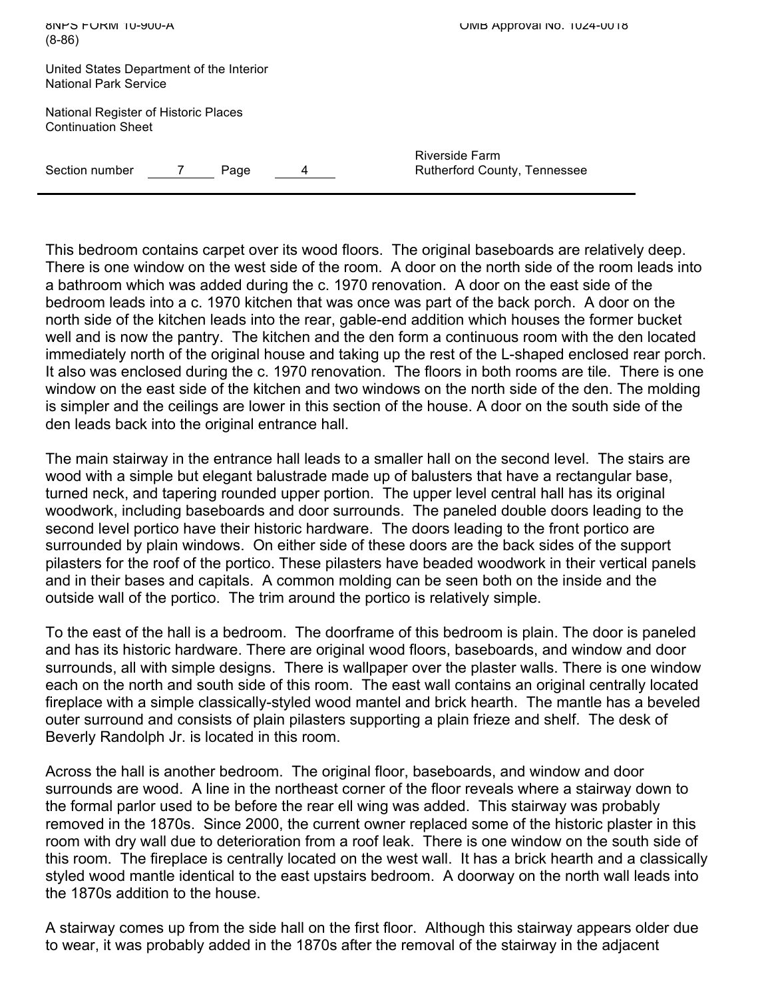| <b>BINPS FURM 10-900-A</b><br>$(8-86)$                            |      |   | UMB Approval No. 1024-0018                     |
|-------------------------------------------------------------------|------|---|------------------------------------------------|
| United States Department of the Interior<br>National Park Service |      |   |                                                |
| National Register of Historic Places<br><b>Continuation Sheet</b> |      |   |                                                |
| Section number                                                    | Page | 4 | Riverside Farm<br>Rutherford County, Tennessee |

This bedroom contains carpet over its wood floors. The original baseboards are relatively deep. There is one window on the west side of the room. A door on the north side of the room leads into a bathroom which was added during the c. 1970 renovation. A door on the east side of the bedroom leads into a c. 1970 kitchen that was once was part of the back porch. A door on the north side of the kitchen leads into the rear, gable-end addition which houses the former bucket well and is now the pantry. The kitchen and the den form a continuous room with the den located immediately north of the original house and taking up the rest of the L-shaped enclosed rear porch. It also was enclosed during the c. 1970 renovation. The floors in both rooms are tile. There is one window on the east side of the kitchen and two windows on the north side of the den. The molding is simpler and the ceilings are lower in this section of the house. A door on the south side of the den leads back into the original entrance hall.

The main stairway in the entrance hall leads to a smaller hall on the second level. The stairs are wood with a simple but elegant balustrade made up of balusters that have a rectangular base, turned neck, and tapering rounded upper portion. The upper level central hall has its original woodwork, including baseboards and door surrounds. The paneled double doors leading to the second level portico have their historic hardware. The doors leading to the front portico are surrounded by plain windows. On either side of these doors are the back sides of the support pilasters for the roof of the portico. These pilasters have beaded woodwork in their vertical panels and in their bases and capitals. A common molding can be seen both on the inside and the outside wall of the portico. The trim around the portico is relatively simple.

To the east of the hall is a bedroom. The doorframe of this bedroom is plain. The door is paneled and has its historic hardware. There are original wood floors, baseboards, and window and door surrounds, all with simple designs. There is wallpaper over the plaster walls. There is one window each on the north and south side of this room. The east wall contains an original centrally located fireplace with a simple classically-styled wood mantel and brick hearth. The mantle has a beveled outer surround and consists of plain pilasters supporting a plain frieze and shelf. The desk of Beverly Randolph Jr. is located in this room.

Across the hall is another bedroom. The original floor, baseboards, and window and door surrounds are wood. A line in the northeast corner of the floor reveals where a stairway down to the formal parlor used to be before the rear ell wing was added. This stairway was probably removed in the 1870s. Since 2000, the current owner replaced some of the historic plaster in this room with dry wall due to deterioration from a roof leak. There is one window on the south side of this room. The fireplace is centrally located on the west wall. It has a brick hearth and a classically styled wood mantle identical to the east upstairs bedroom. A doorway on the north wall leads into the 1870s addition to the house.

A stairway comes up from the side hall on the first floor. Although this stairway appears older due to wear, it was probably added in the 1870s after the removal of the stairway in the adjacent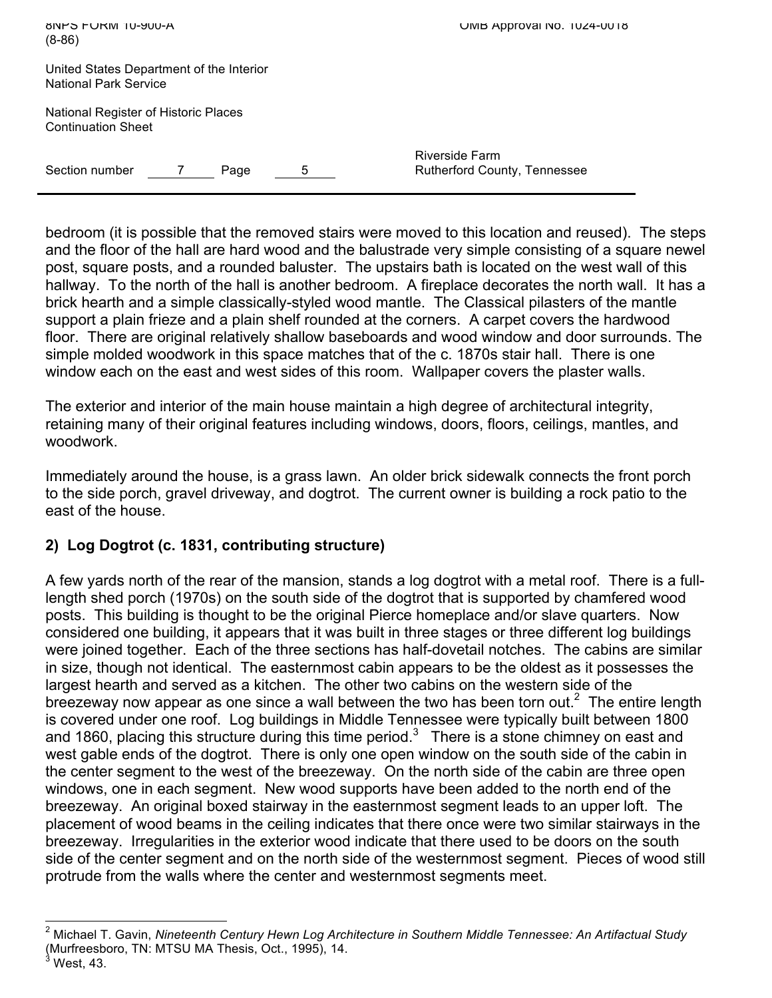| <b>A-UUKI SIDE-SIDE-A</b><br>$(8-86)$                                    | UMB Approval No. 1024-0018                            |
|--------------------------------------------------------------------------|-------------------------------------------------------|
| United States Department of the Interior<br><b>National Park Service</b> |                                                       |
| National Register of Historic Places<br><b>Continuation Sheet</b>        |                                                       |
| Section number<br>Page<br>5                                              | <b>Riverside Farm</b><br>Rutherford County, Tennessee |

bedroom (it is possible that the removed stairs were moved to this location and reused). The steps and the floor of the hall are hard wood and the balustrade very simple consisting of a square newel post, square posts, and a rounded baluster. The upstairs bath is located on the west wall of this hallway. To the north of the hall is another bedroom. A fireplace decorates the north wall. It has a brick hearth and a simple classically-styled wood mantle. The Classical pilasters of the mantle support a plain frieze and a plain shelf rounded at the corners. A carpet covers the hardwood floor. There are original relatively shallow baseboards and wood window and door surrounds. The simple molded woodwork in this space matches that of the c. 1870s stair hall. There is one window each on the east and west sides of this room. Wallpaper covers the plaster walls.

The exterior and interior of the main house maintain a high degree of architectural integrity, retaining many of their original features including windows, doors, floors, ceilings, mantles, and woodwork.

Immediately around the house, is a grass lawn. An older brick sidewalk connects the front porch to the side porch, gravel driveway, and dogtrot. The current owner is building a rock patio to the east of the house.

## **2) Log Dogtrot (c. 1831, contributing structure)**

A few yards north of the rear of the mansion, stands a log dogtrot with a metal roof. There is a fulllength shed porch (1970s) on the south side of the dogtrot that is supported by chamfered wood posts. This building is thought to be the original Pierce homeplace and/or slave quarters. Now considered one building, it appears that it was built in three stages or three different log buildings were joined together. Each of the three sections has half-dovetail notches. The cabins are similar in size, though not identical. The easternmost cabin appears to be the oldest as it possesses the largest hearth and served as a kitchen. The other two cabins on the western side of the breezeway now appear as one since a wall between the two has been torn out.<sup>2</sup> The entire length is covered under one roof. Log buildings in Middle Tennessee were typically built between 1800 and 1860, placing this structure during this time period.<sup>3</sup> There is a stone chimney on east and west gable ends of the dogtrot. There is only one open window on the south side of the cabin in the center segment to the west of the breezeway. On the north side of the cabin are three open windows, one in each segment. New wood supports have been added to the north end of the breezeway. An original boxed stairway in the easternmost segment leads to an upper loft. The placement of wood beams in the ceiling indicates that there once were two similar stairways in the breezeway. Irregularities in the exterior wood indicate that there used to be doors on the south side of the center segment and on the north side of the westernmost segment. Pieces of wood still protrude from the walls where the center and westernmost segments meet.

2 Michael T. Gavin, *Nineteenth Century Hewn Log Architecture in Southern Middle Tennessee: An Artifactual Study* (Murfreesboro, TN: MTSU MA Thesis, Oct., 1995), 14. 3

West, 43.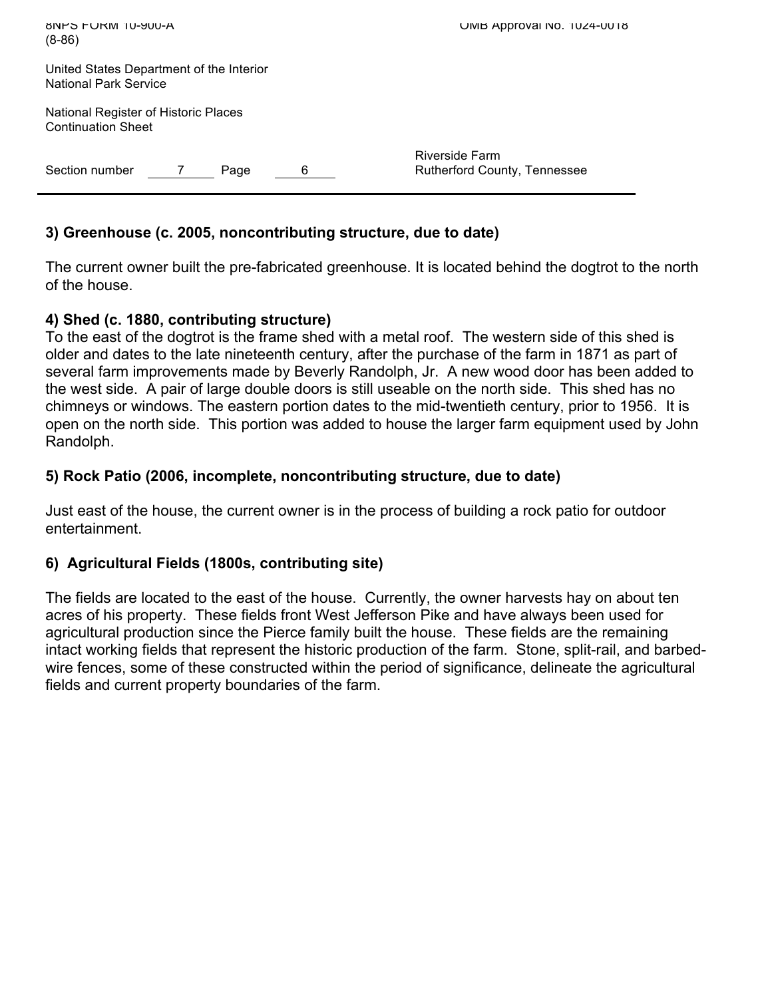| <b>BINHS FURM 10-900-A</b><br>$(8-86)$                                   |   | UMB Approval No. 1024-0018                     |
|--------------------------------------------------------------------------|---|------------------------------------------------|
| United States Department of the Interior<br><b>National Park Service</b> |   |                                                |
| National Register of Historic Places<br><b>Continuation Sheet</b>        |   |                                                |
| Section number<br>Page                                                   | 6 | Riverside Farm<br>Rutherford County, Tennessee |

## **3) Greenhouse (c. 2005, noncontributing structure, due to date)**

The current owner built the pre-fabricated greenhouse. It is located behind the dogtrot to the north of the house.

## **4) Shed (c. 1880, contributing structure)**

To the east of the dogtrot is the frame shed with a metal roof. The western side of this shed is older and dates to the late nineteenth century, after the purchase of the farm in 1871 as part of several farm improvements made by Beverly Randolph, Jr. A new wood door has been added to the west side. A pair of large double doors is still useable on the north side. This shed has no chimneys or windows. The eastern portion dates to the mid-twentieth century, prior to 1956. It is open on the north side. This portion was added to house the larger farm equipment used by John Randolph.

## **5) Rock Patio (2006, incomplete, noncontributing structure, due to date)**

Just east of the house, the current owner is in the process of building a rock patio for outdoor entertainment.

## **6) Agricultural Fields (1800s, contributing site)**

The fields are located to the east of the house. Currently, the owner harvests hay on about ten acres of his property. These fields front West Jefferson Pike and have always been used for agricultural production since the Pierce family built the house. These fields are the remaining intact working fields that represent the historic production of the farm. Stone, split-rail, and barbedwire fences, some of these constructed within the period of significance, delineate the agricultural fields and current property boundaries of the farm.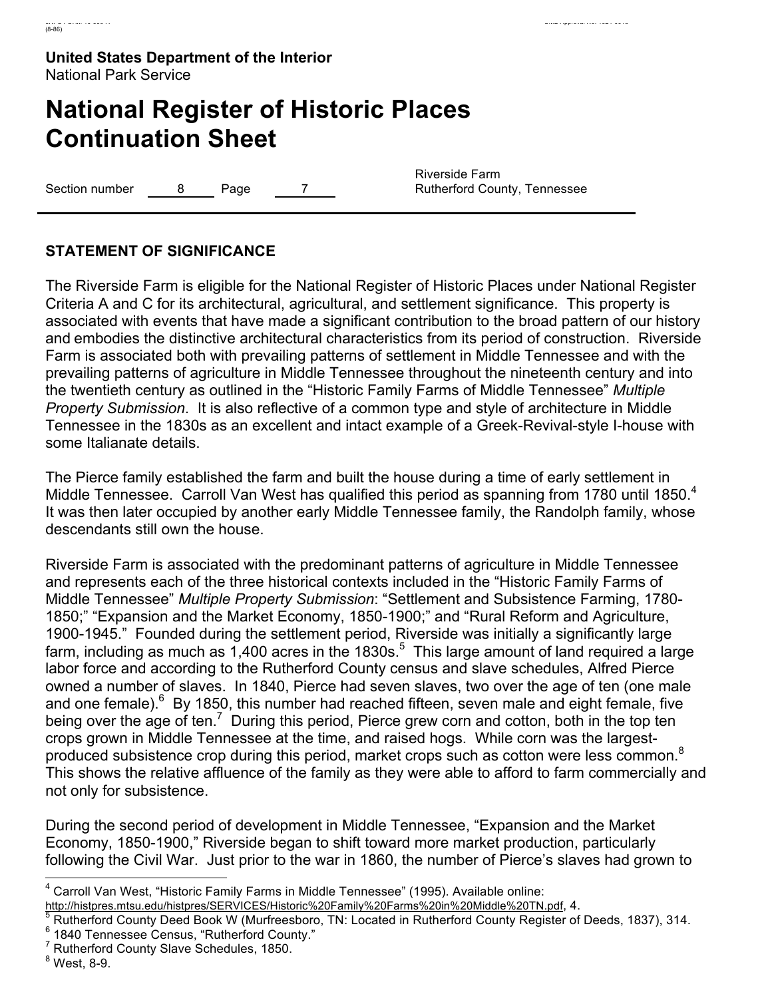# **National Register of Historic Places Continuation Sheet**

Section number 8 Page 7

Riverside Farm Rutherford County, Tennessee

## **STATEMENT OF SIGNIFICANCE**

The Riverside Farm is eligible for the National Register of Historic Places under National Register Criteria A and C for its architectural, agricultural, and settlement significance. This property is associated with events that have made a significant contribution to the broad pattern of our history and embodies the distinctive architectural characteristics from its period of construction. Riverside Farm is associated both with prevailing patterns of settlement in Middle Tennessee and with the prevailing patterns of agriculture in Middle Tennessee throughout the nineteenth century and into the twentieth century as outlined in the "Historic Family Farms of Middle Tennessee" *Multiple Property Submission*. It is also reflective of a common type and style of architecture in Middle Tennessee in the 1830s as an excellent and intact example of a Greek-Revival-style I-house with some Italianate details.

The Pierce family established the farm and built the house during a time of early settlement in Middle Tennessee. Carroll Van West has qualified this period as spanning from 1780 until 1850.<sup>4</sup> It was then later occupied by another early Middle Tennessee family, the Randolph family, whose descendants still own the house.

Riverside Farm is associated with the predominant patterns of agriculture in Middle Tennessee and represents each of the three historical contexts included in the "Historic Family Farms of Middle Tennessee" *Multiple Property Submission*: "Settlement and Subsistence Farming, 1780- 1850;" "Expansion and the Market Economy, 1850-1900;" and "Rural Reform and Agriculture, 1900-1945." Founded during the settlement period, Riverside was initially a significantly large farm, including as much as 1,400 acres in the 1830s.<sup>5</sup> This large amount of land required a large labor force and according to the Rutherford County census and slave schedules, Alfred Pierce owned a number of slaves. In 1840, Pierce had seven slaves, two over the age of ten (one male and one female). $^6$  By 1850, this number had reached fifteen, seven male and eight female, five being over the age of ten.<sup>7</sup> During this period, Pierce grew corn and cotton, both in the top ten crops grown in Middle Tennessee at the time, and raised hogs. While corn was the largestproduced subsistence crop during this period, market crops such as cotton were less common.<sup>8</sup> This shows the relative affluence of the family as they were able to afford to farm commercially and not only for subsistence.

During the second period of development in Middle Tennessee, "Expansion and the Market Economy, 1850-1900," Riverside began to shift toward more market production, particularly following the Civil War. Just prior to the war in 1860, the number of Pierce's slaves had grown to

<sup>7</sup> Rutherford County Slave Schedules, 1850.

8 West, 8-9.

4 Carroll Van West, "Historic Family Farms in Middle Tennessee" (1995). Available online:

http://histpres.mtsu.edu/histpres/SERVICES/Historic%20Family%20Farms%20in%20Middle%20TN.pdf, 4.

Rutherford County Deed Book W (Murfreesboro, TN: Located in Rutherford County Register of Deeds, 1837), 314.  $6$  1840 Tennessee Census, "Rutherford County."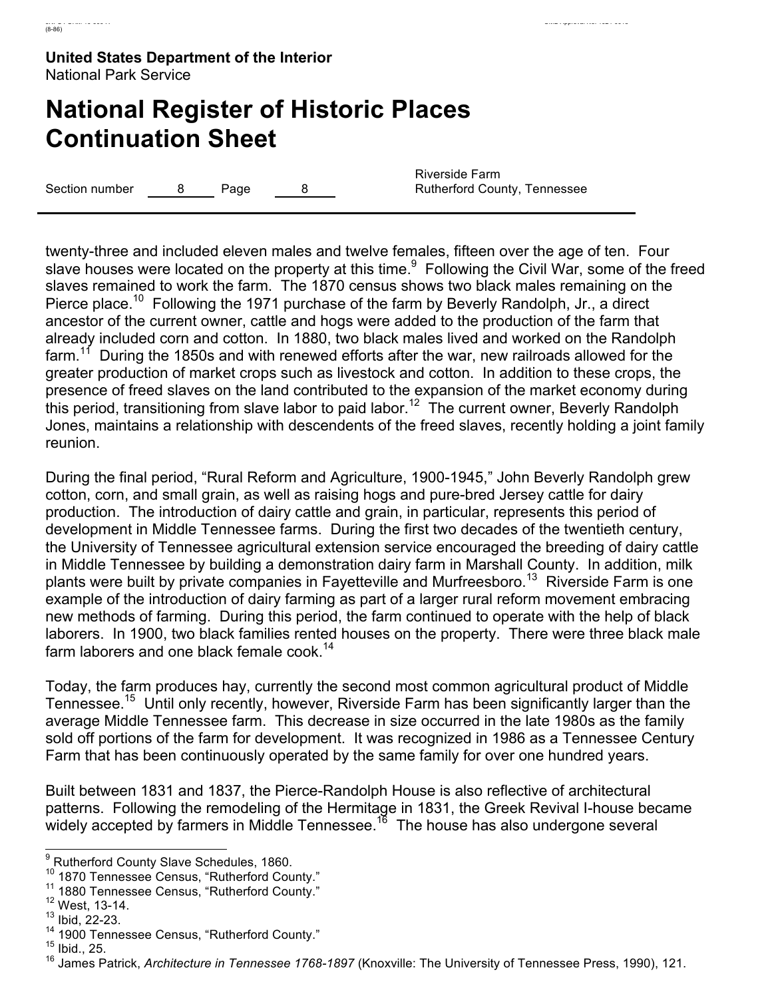# **National Register of Historic Places Continuation Sheet**

Section number  $\begin{array}{ccc} 8 & \text{Page} & \text{8} \end{array}$ 

Riverside Farm Rutherford County, Tennessee

twenty-three and included eleven males and twelve females, fifteen over the age of ten. Four slave houses were located on the property at this time.<sup>9</sup> Following the Civil War, some of the freed slaves remained to work the farm. The 1870 census shows two black males remaining on the Pierce place.<sup>10</sup> Following the 1971 purchase of the farm by Beverly Randolph, Jr., a direct ancestor of the current owner, cattle and hogs were added to the production of the farm that already included corn and cotton. In 1880, two black males lived and worked on the Randolph farm.<sup>11</sup> During the 1850s and with renewed efforts after the war, new railroads allowed for the greater production of market crops such as livestock and cotton. In addition to these crops, the presence of freed slaves on the land contributed to the expansion of the market economy during this period, transitioning from slave labor to paid labor.<sup>12</sup> The current owner, Beverly Randolph Jones, maintains a relationship with descendents of the freed slaves, recently holding a joint family reunion.

During the final period, "Rural Reform and Agriculture, 1900-1945," John Beverly Randolph grew cotton, corn, and small grain, as well as raising hogs and pure-bred Jersey cattle for dairy production. The introduction of dairy cattle and grain, in particular, represents this period of development in Middle Tennessee farms. During the first two decades of the twentieth century, the University of Tennessee agricultural extension service encouraged the breeding of dairy cattle in Middle Tennessee by building a demonstration dairy farm in Marshall County. In addition, milk plants were built by private companies in Fayetteville and Murfreesboro.<sup>13</sup> Riverside Farm is one example of the introduction of dairy farming as part of a larger rural reform movement embracing new methods of farming. During this period, the farm continued to operate with the help of black laborers. In 1900, two black families rented houses on the property. There were three black male farm laborers and one black female cook.<sup>14</sup>

Today, the farm produces hay, currently the second most common agricultural product of Middle Tennessee.<sup>15</sup> Until only recently, however, Riverside Farm has been significantly larger than the average Middle Tennessee farm. This decrease in size occurred in the late 1980s as the family sold off portions of the farm for development. It was recognized in 1986 as a Tennessee Century Farm that has been continuously operated by the same family for over one hundred years.

Built between 1831 and 1837, the Pierce-Randolph House is also reflective of architectural patterns. Following the remodeling of the Hermitage in 1831, the Greek Revival I-house became widely accepted by farmers in Middle Tennessee.<sup>16</sup> The house has also undergone several

<sup>&</sup>lt;sup>9</sup> Rutherford County Slave Schedules, 1860.

<sup>&</sup>lt;sup>10</sup> 1870 Tennessee Census, "Rutherford County."<br><sup>11</sup> 1880 Tennessee Census, "Rutherford County."<br><sup>12</sup> West, 13-14.

<sup>13</sup> Ibid, 22-23.

 $14$  1900 Tennessee Census, "Rutherford County."<br> $15$  Ibid., 25.

<sup>16</sup> James Patrick, *Architecture in Tennessee 1768-1897* (Knoxville: The University of Tennessee Press, 1990), 121.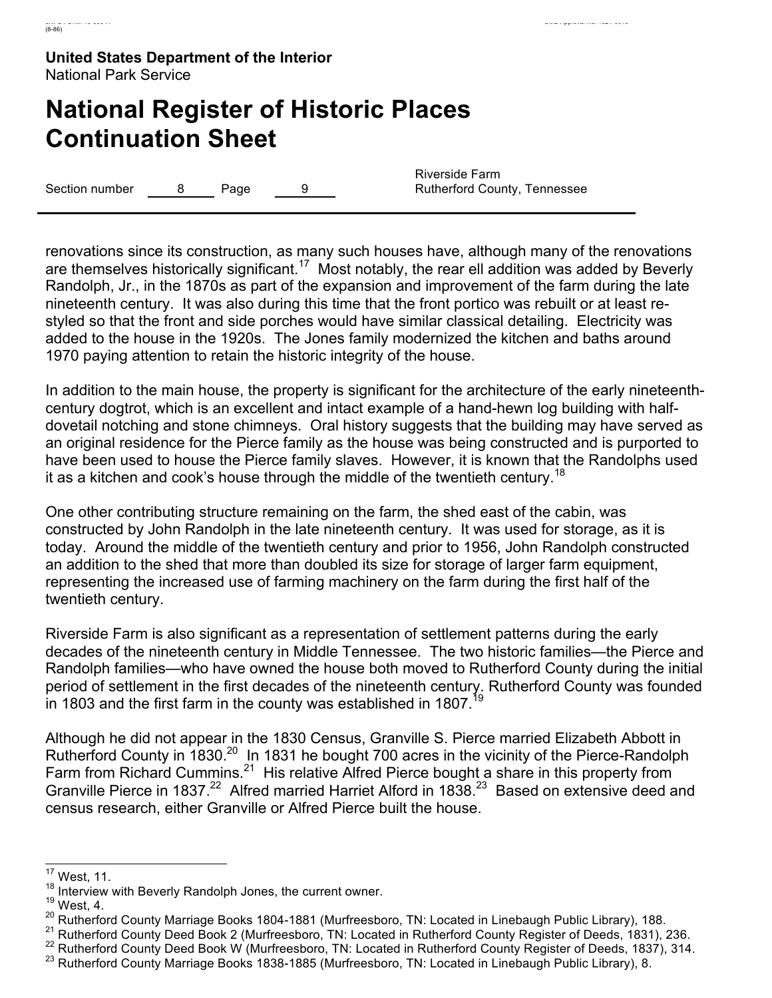# **National Register of Historic Places Continuation Sheet**

Section number  $\qquad 8$  Page 9

Riverside Farm Rutherford County, Tennessee

renovations since its construction, as many such houses have, although many of the renovations are themselves historically significant.<sup>17</sup> Most notably, the rear ell addition was added by Beverly Randolph, Jr., in the 1870s as part of the expansion and improvement of the farm during the late nineteenth century. It was also during this time that the front portico was rebuilt or at least restyled so that the front and side porches would have similar classical detailing. Electricity was added to the house in the 1920s. The Jones family modernized the kitchen and baths around 1970 paying attention to retain the historic integrity of the house.

In addition to the main house, the property is significant for the architecture of the early nineteenthcentury dogtrot, which is an excellent and intact example of a hand-hewn log building with halfdovetail notching and stone chimneys. Oral history suggests that the building may have served as an original residence for the Pierce family as the house was being constructed and is purported to have been used to house the Pierce family slaves. However, it is known that the Randolphs used it as a kitchen and cook's house through the middle of the twentieth century.<sup>18</sup>

One other contributing structure remaining on the farm, the shed east of the cabin, was constructed by John Randolph in the late nineteenth century. It was used for storage, as it is today. Around the middle of the twentieth century and prior to 1956, John Randolph constructed an addition to the shed that more than doubled its size for storage of larger farm equipment, representing the increased use of farming machinery on the farm during the first half of the twentieth century.

Riverside Farm is also significant as a representation of settlement patterns during the early decades of the nineteenth century in Middle Tennessee. The two historic families—the Pierce and Randolph families—who have owned the house both moved to Rutherford County during the initial period of settlement in the first decades of the nineteenth century. Rutherford County was founded in 1803 and the first farm in the county was established in 1807.<sup>19</sup>

Although he did not appear in the 1830 Census, Granville S. Pierce married Elizabeth Abbott in Rutherford County in  $1830.^{20}$  In 1831 he bought 700 acres in the vicinity of the Pierce-Randolph Farm from Richard Cummins.<sup>21</sup> His relative Alfred Pierce bought a share in this property from Granville Pierce in 1837.<sup>22</sup> Alfred married Harriet Alford in 1838.<sup>23</sup> Based on extensive deed and census research, either Granville or Alfred Pierce built the house.

 $17$  West, 11.

<sup>&</sup>lt;sup>18</sup> Interview with Beverly Randolph Jones, the current owner.<br><sup>19</sup> West, 4.<br><sup>20</sup> Rutherford County Marriage Books 1804-1881 (Murfreesboro, TN: Located in Linebaugh Public Library), 188.

<sup>&</sup>lt;sup>21</sup> Rutherford County Deed Book 2 (Murfreesboro, TN: Located in Rutherford County Register of Deeds, 1831), 236.<br><sup>22</sup> Rutherford County Deed Book W (Murfreesboro, TN: Located in Rutherford County Register of Deeds, 1837),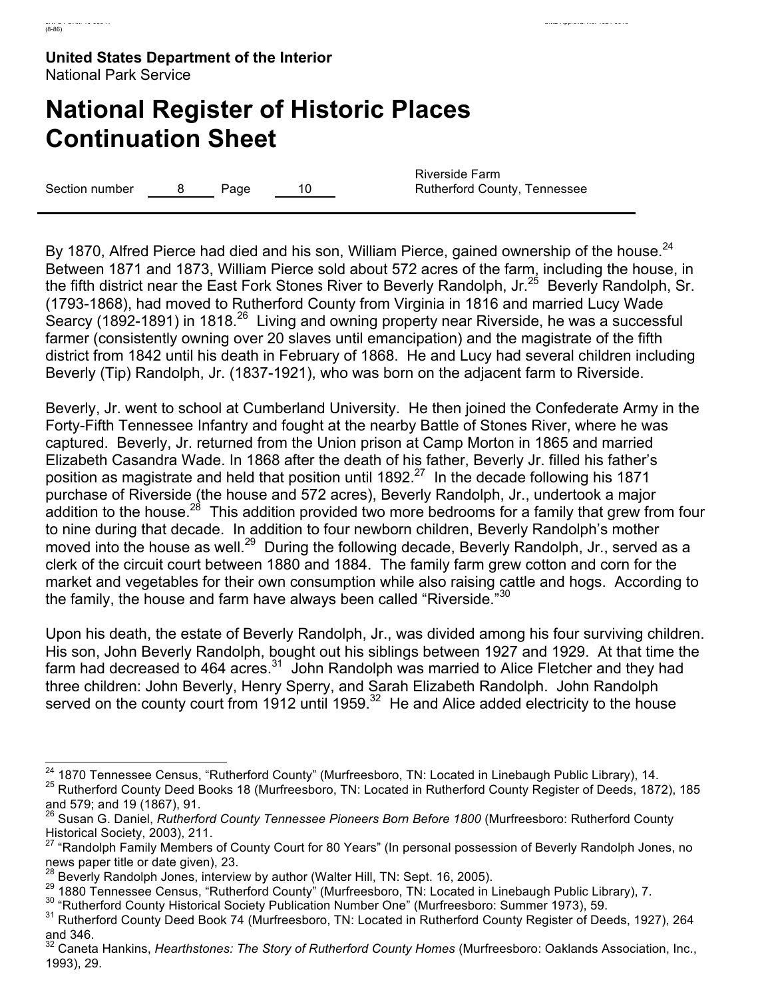# **National Register of Historic Places Continuation Sheet**

Section number  $\overline{8}$  Page 10

Riverside Farm Rutherford County, Tennessee

By 1870, Alfred Pierce had died and his son, William Pierce, gained ownership of the house.<sup>24</sup> Between 1871 and 1873, William Pierce sold about 572 acres of the farm, including the house, in the fifth district near the East Fork Stones River to Beverly Randolph, Jr.<sup>25</sup> Beverly Randolph, Sr. (1793-1868), had moved to Rutherford County from Virginia in 1816 and married Lucy Wade Searcy (1892-1891) in 1818.<sup>26</sup> Living and owning property near Riverside, he was a successful farmer (consistently owning over 20 slaves until emancipation) and the magistrate of the fifth district from 1842 until his death in February of 1868. He and Lucy had several children including Beverly (Tip) Randolph, Jr. (1837-1921), who was born on the adjacent farm to Riverside.

Beverly, Jr. went to school at Cumberland University. He then joined the Confederate Army in the Forty-Fifth Tennessee Infantry and fought at the nearby Battle of Stones River, where he was captured. Beverly, Jr. returned from the Union prison at Camp Morton in 1865 and married Elizabeth Casandra Wade. In 1868 after the death of his father, Beverly Jr. filled his father's position as magistrate and held that position until 1892.<sup>27</sup> In the decade following his 1871 purchase of Riverside (the house and 572 acres), Beverly Randolph, Jr., undertook a major addition to the house.<sup>28</sup> This addition provided two more bedrooms for a family that grew from four to nine during that decade. In addition to four newborn children, Beverly Randolph's mother moved into the house as well.<sup>29</sup> During the following decade, Beverly Randolph, Jr., served as a clerk of the circuit court between 1880 and 1884. The family farm grew cotton and corn for the market and vegetables for their own consumption while also raising cattle and hogs. According to the family, the house and farm have always been called "Riverside."30

Upon his death, the estate of Beverly Randolph, Jr., was divided among his four surviving children. His son, John Beverly Randolph, bought out his siblings between 1927 and 1929. At that time the farm had decreased to 464 acres. $31$  John Randolph was married to Alice Fletcher and they had three children: John Beverly, Henry Sperry, and Sarah Elizabeth Randolph. John Randolph served on the county court from 1912 until 1959.<sup>32</sup> He and Alice added electricity to the house

<sup>&</sup>lt;sup>24</sup> 1870 Tennessee Census, "Rutherford County" (Murfreesboro, TN: Located in Linebaugh Public Library), 14.<br><sup>25</sup> Rutherford County Deed Books 18 (Murfreesboro, TN: Located in Rutherford County Register of Deeds, 1872), 1

Susan G. Daniel, *Rutherford County Tennessee Pioneers Born Before 1800* (Murfreesboro: Rutherford County Historical Society, 2003), 211.

<sup>&</sup>lt;sup>27</sup> "Randolph Family Members of County Court for 80 Years" (In personal possession of Beverly Randolph Jones, no news paper title or date given), 23.<br><sup>28</sup> Beverly Randolph Jones, interview by author (Walter Hill, TN: Sept. 16, 2005).

<sup>&</sup>lt;sup>29</sup> 1880 Tennessee Census, "Rutherford County" (Murfreesboro, TN: Located in Linebaugh Public Library), 7.<br><sup>30</sup> "Rutherford County Historical Society Publication Number One" (Murfreesboro: Summer 1973), 59.<br><sup>31</sup> Rutherfor and 346.

<sup>32</sup> Caneta Hankins, *Hearthstones: The Story of Rutherford County Homes* (Murfreesboro: Oaklands Association, Inc., 1993), 29.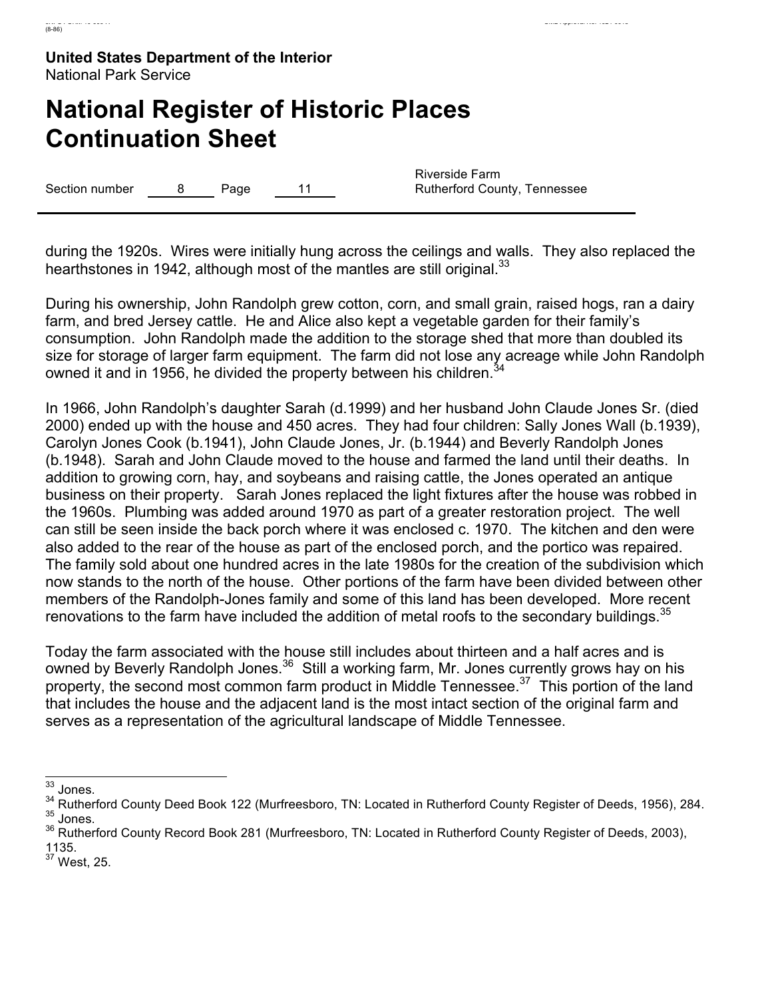# **National Register of Historic Places Continuation Sheet**

Section number  $\qquad 8$  Page 11

Riverside Farm Rutherford County, Tennessee

during the 1920s. Wires were initially hung across the ceilings and walls. They also replaced the hearthstones in 1942, although most of the mantles are still original.  $33$ 

During his ownership, John Randolph grew cotton, corn, and small grain, raised hogs, ran a dairy farm, and bred Jersey cattle. He and Alice also kept a vegetable garden for their family's consumption. John Randolph made the addition to the storage shed that more than doubled its size for storage of larger farm equipment. The farm did not lose any acreage while John Randolph owned it and in 1956, he divided the property between his children.<sup>34</sup>

In 1966, John Randolph's daughter Sarah (d.1999) and her husband John Claude Jones Sr. (died 2000) ended up with the house and 450 acres. They had four children: Sally Jones Wall (b.1939), Carolyn Jones Cook (b.1941), John Claude Jones, Jr. (b.1944) and Beverly Randolph Jones (b.1948). Sarah and John Claude moved to the house and farmed the land until their deaths. In addition to growing corn, hay, and soybeans and raising cattle, the Jones operated an antique business on their property. Sarah Jones replaced the light fixtures after the house was robbed in the 1960s. Plumbing was added around 1970 as part of a greater restoration project. The well can still be seen inside the back porch where it was enclosed c. 1970. The kitchen and den were also added to the rear of the house as part of the enclosed porch, and the portico was repaired. The family sold about one hundred acres in the late 1980s for the creation of the subdivision which now stands to the north of the house. Other portions of the farm have been divided between other members of the Randolph-Jones family and some of this land has been developed. More recent renovations to the farm have included the addition of metal roofs to the secondary buildings.  $35$ 

Today the farm associated with the house still includes about thirteen and a half acres and is owned by Beverly Randolph Jones.<sup>36</sup> Still a working farm, Mr. Jones currently grows hay on his property, the second most common farm product in Middle Tennessee.<sup>37</sup> This portion of the land that includes the house and the adjacent land is the most intact section of the original farm and serves as a representation of the agricultural landscape of Middle Tennessee.

33 Jones.

<sup>&</sup>lt;sup>34</sup> Rutherford County Deed Book 122 (Murfreesboro, TN: Located in Rutherford County Register of Deeds, 1956), 284.<br><sup>35</sup> Jones.

<sup>&</sup>lt;sup>36</sup> Rutherford County Record Book 281 (Murfreesboro, TN: Located in Rutherford County Register of Deeds, 2003), 1135.

 $37$  West, 25.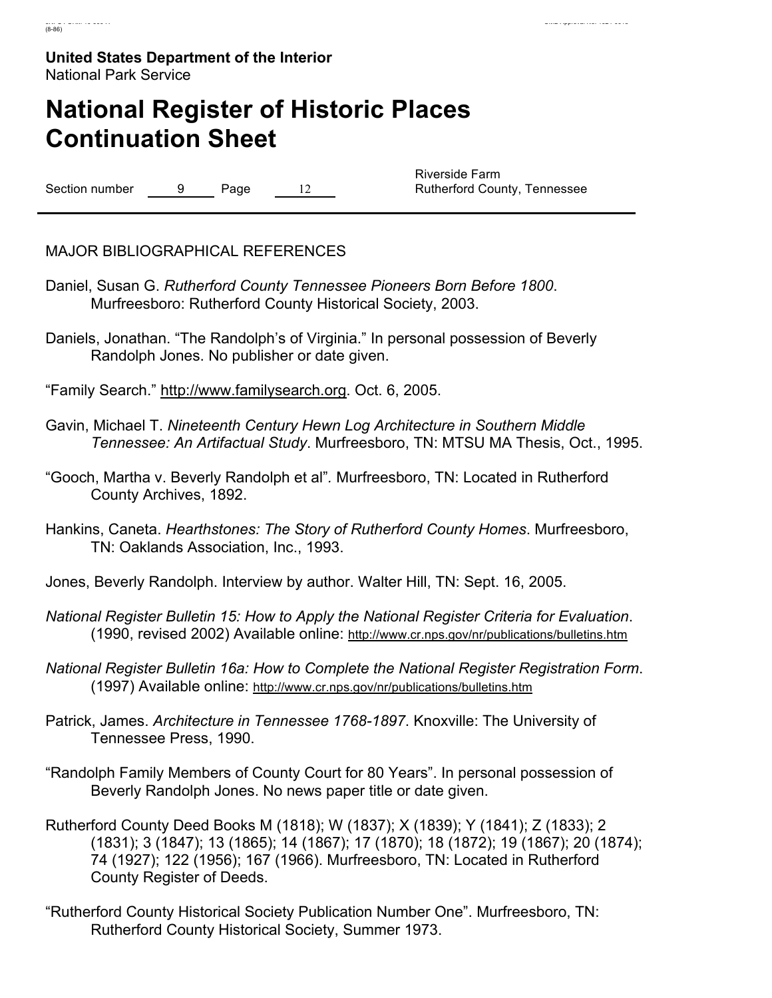# **National Register of Historic Places Continuation Sheet**

Section number 9 Page 12

Riverside Farm Rutherford County, Tennessee

MAJOR BIBLIOGRAPHICAL REFERENCES

- Daniel, Susan G. *Rutherford County Tennessee Pioneers Born Before 1800*. Murfreesboro: Rutherford County Historical Society, 2003.
- Daniels, Jonathan. "The Randolph's of Virginia." In personal possession of Beverly Randolph Jones. No publisher or date given.

"Family Search." http://www.familysearch.org. Oct. 6, 2005.

- Gavin, Michael T. *Nineteenth Century Hewn Log Architecture in Southern Middle Tennessee: An Artifactual Study*. Murfreesboro, TN: MTSU MA Thesis, Oct., 1995.
- "Gooch, Martha v. Beverly Randolph et al"*.* Murfreesboro, TN: Located in Rutherford County Archives, 1892.
- Hankins, Caneta. *Hearthstones: The Story of Rutherford County Homes*. Murfreesboro, TN: Oaklands Association, Inc., 1993.

Jones, Beverly Randolph. Interview by author. Walter Hill, TN: Sept. 16, 2005.

- *National Register Bulletin 15: How to Apply the National Register Criteria for Evaluation*. (1990, revised 2002) Available online: http://www.cr.nps.gov/nr/publications/bulletins.htm
- *National Register Bulletin 16a: How to Complete the National Register Registration Form*. (1997) Available online: http://www.cr.nps.gov/nr/publications/bulletins.htm
- Patrick, James. *Architecture in Tennessee 1768-1897*. Knoxville: The University of Tennessee Press, 1990.
- "Randolph Family Members of County Court for 80 Years". In personal possession of Beverly Randolph Jones. No news paper title or date given.
- Rutherford County Deed Books M (1818); W (1837); X (1839); Y (1841); Z (1833); 2 (1831); 3 (1847); 13 (1865); 14 (1867); 17 (1870); 18 (1872); 19 (1867); 20 (1874); 74 (1927); 122 (1956); 167 (1966). Murfreesboro, TN: Located in Rutherford County Register of Deeds.
- "Rutherford County Historical Society Publication Number One". Murfreesboro, TN: Rutherford County Historical Society, Summer 1973.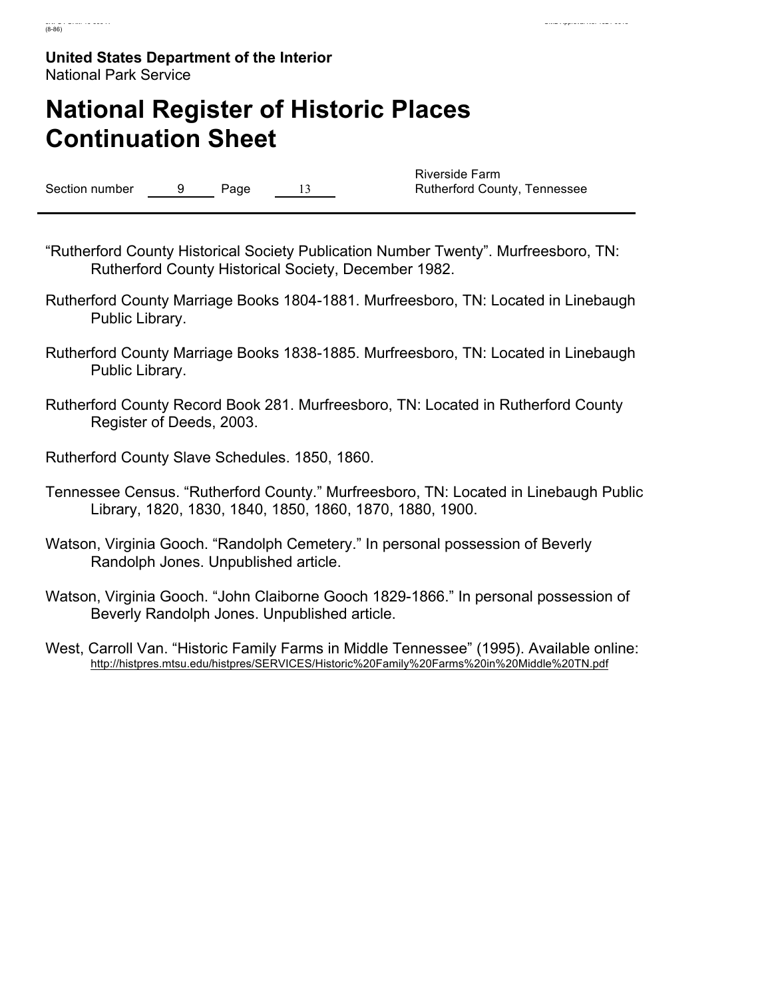# **National Register of Historic Places Continuation Sheet**

Section number 9 Page 13

Riverside Farm Rutherford County, Tennessee

- "Rutherford County Historical Society Publication Number Twenty". Murfreesboro, TN: Rutherford County Historical Society, December 1982.
- Rutherford County Marriage Books 1804-1881. Murfreesboro, TN: Located in Linebaugh Public Library.
- Rutherford County Marriage Books 1838-1885. Murfreesboro, TN: Located in Linebaugh Public Library.
- Rutherford County Record Book 281. Murfreesboro, TN: Located in Rutherford County Register of Deeds, 2003.

Rutherford County Slave Schedules. 1850, 1860.

- Tennessee Census. "Rutherford County." Murfreesboro, TN: Located in Linebaugh Public Library, 1820, 1830, 1840, 1850, 1860, 1870, 1880, 1900.
- Watson, Virginia Gooch. "Randolph Cemetery." In personal possession of Beverly Randolph Jones. Unpublished article.
- Watson, Virginia Gooch. "John Claiborne Gooch 1829-1866." In personal possession of Beverly Randolph Jones. Unpublished article.
- West, Carroll Van. "Historic Family Farms in Middle Tennessee" (1995). Available online: http://histpres.mtsu.edu/histpres/SERVICES/Historic%20Family%20Farms%20in%20Middle%20TN.pdf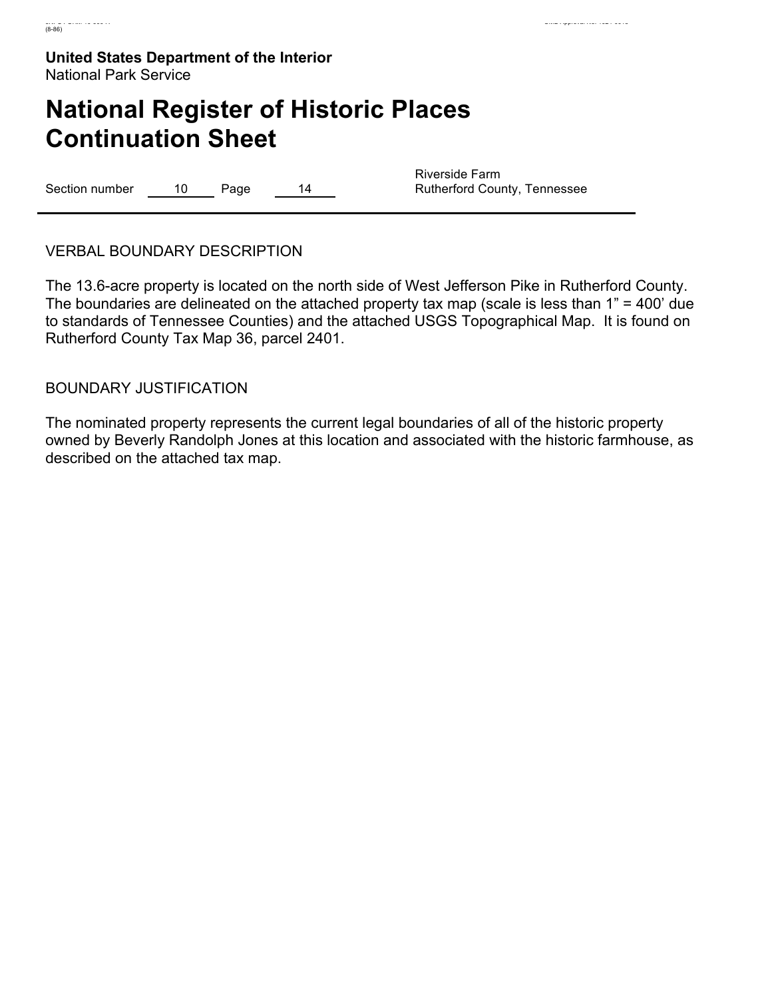# **National Register of Historic Places Continuation Sheet**

Section number 10 Page 14

Riverside Farm Rutherford County, Tennessee

VERBAL BOUNDARY DESCRIPTION

The 13.6-acre property is located on the north side of West Jefferson Pike in Rutherford County. The boundaries are delineated on the attached property tax map (scale is less than 1" = 400' due to standards of Tennessee Counties) and the attached USGS Topographical Map. It is found on Rutherford County Tax Map 36, parcel 2401.

BOUNDARY JUSTIFICATION

The nominated property represents the current legal boundaries of all of the historic property owned by Beverly Randolph Jones at this location and associated with the historic farmhouse, as described on the attached tax map.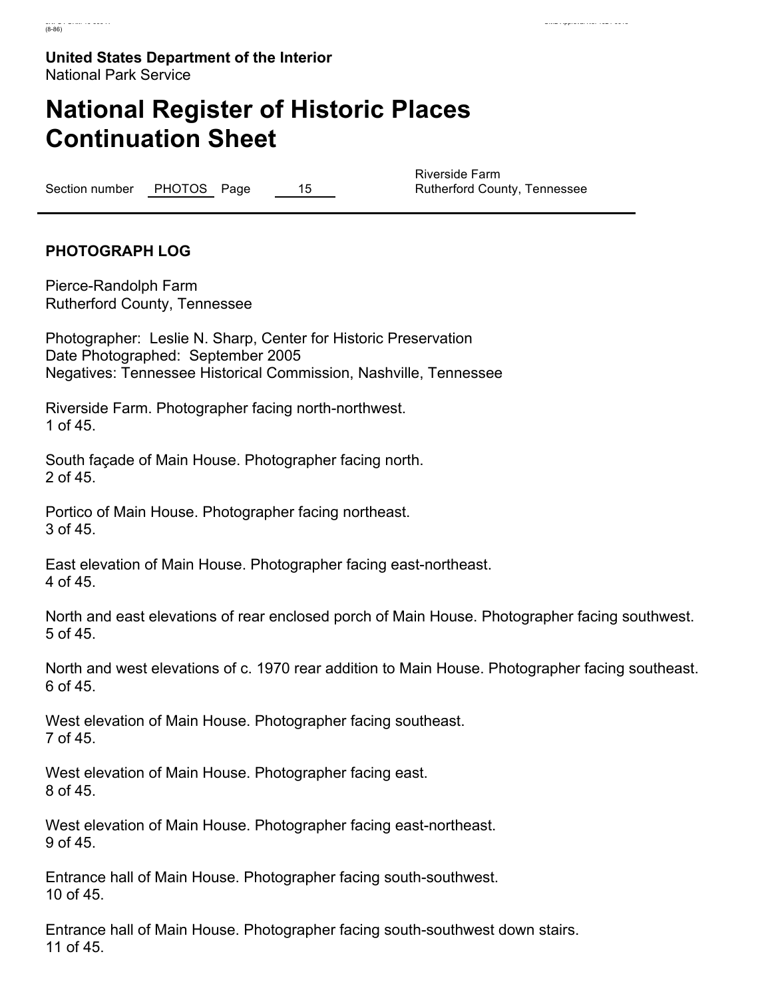# **National Register of Historic Places Continuation Sheet**

Section number PHOTOS Page 15

Riverside Farm Rutherford County, Tennessee

## **PHOTOGRAPH LOG**

Pierce-Randolph Farm Rutherford County, Tennessee

Photographer: Leslie N. Sharp, Center for Historic Preservation Date Photographed: September 2005 Negatives: Tennessee Historical Commission, Nashville, Tennessee

Riverside Farm. Photographer facing north-northwest. 1 of 45.

South façade of Main House. Photographer facing north. 2 of 45.

Portico of Main House. Photographer facing northeast. 3 of 45.

East elevation of Main House. Photographer facing east-northeast. 4 of 45.

North and east elevations of rear enclosed porch of Main House. Photographer facing southwest. 5 of 45.

North and west elevations of c. 1970 rear addition to Main House. Photographer facing southeast. 6 of 45.

West elevation of Main House. Photographer facing southeast. 7 of 45.

West elevation of Main House. Photographer facing east. 8 of 45.

West elevation of Main House. Photographer facing east-northeast. 9 of 45.

Entrance hall of Main House. Photographer facing south-southwest. 10 of 45.

Entrance hall of Main House. Photographer facing south-southwest down stairs. 11 of 45.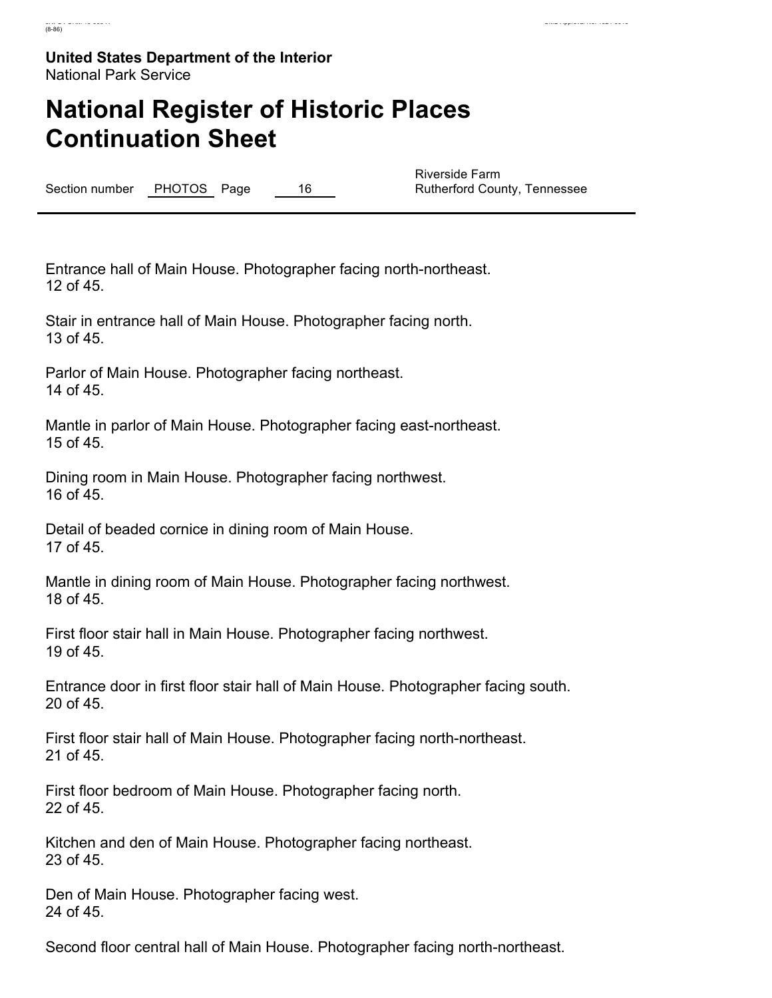# **National Register of Historic Places Continuation Sheet**

Section number PHOTOS Page 16

Riverside Farm Rutherford County, Tennessee

Entrance hall of Main House. Photographer facing north-northeast. 12 of 45.

Stair in entrance hall of Main House. Photographer facing north. 13 of 45.

Parlor of Main House. Photographer facing northeast. 14 of 45.

Mantle in parlor of Main House. Photographer facing east-northeast. 15 of 45.

Dining room in Main House. Photographer facing northwest. 16 of 45.

Detail of beaded cornice in dining room of Main House. 17 of 45.

Mantle in dining room of Main House. Photographer facing northwest. 18 of 45.

First floor stair hall in Main House. Photographer facing northwest. 19 of 45.

Entrance door in first floor stair hall of Main House. Photographer facing south. 20 of 45.

First floor stair hall of Main House. Photographer facing north-northeast. 21 of 45.

First floor bedroom of Main House. Photographer facing north. 22 of 45.

Kitchen and den of Main House. Photographer facing northeast. 23 of 45.

Den of Main House. Photographer facing west. 24 of 45.

Second floor central hall of Main House. Photographer facing north-northeast.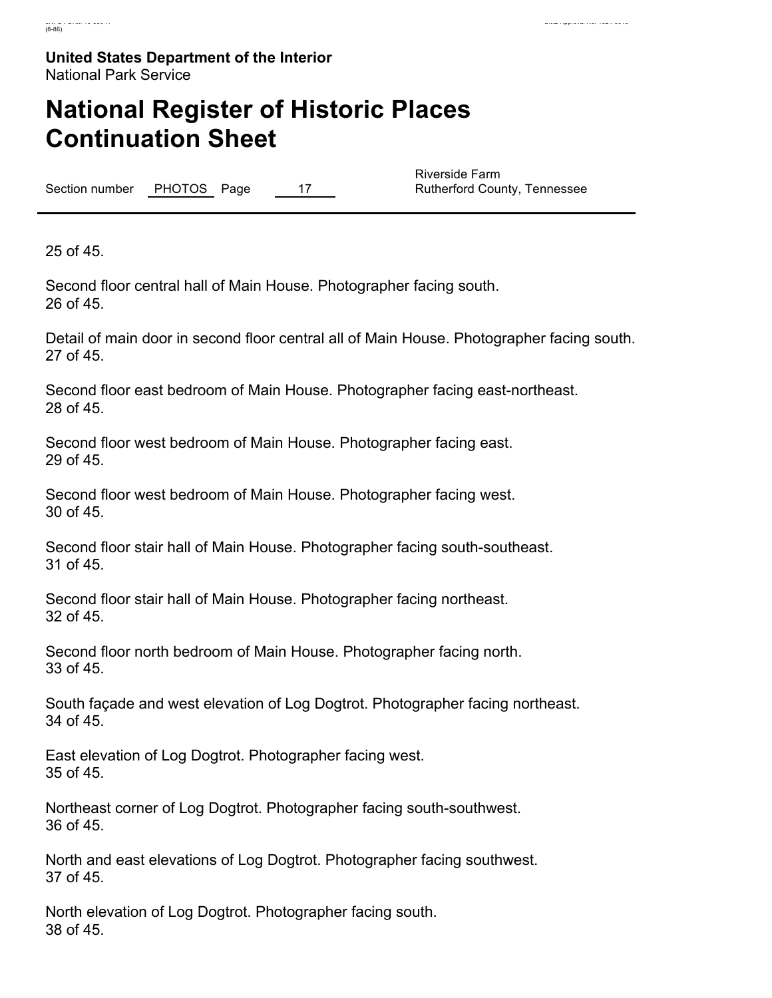# **National Register of Historic Places Continuation Sheet**

Section number PHOTOS Page 17

Riverside Farm Rutherford County, Tennessee

25 of 45.

Second floor central hall of Main House. Photographer facing south. 26 of 45.

Detail of main door in second floor central all of Main House. Photographer facing south. 27 of 45.

Second floor east bedroom of Main House. Photographer facing east-northeast. 28 of 45.

Second floor west bedroom of Main House. Photographer facing east. 29 of 45.

Second floor west bedroom of Main House. Photographer facing west. 30 of 45.

Second floor stair hall of Main House. Photographer facing south-southeast. 31 of 45.

Second floor stair hall of Main House. Photographer facing northeast. 32 of 45.

Second floor north bedroom of Main House. Photographer facing north. 33 of 45.

South façade and west elevation of Log Dogtrot. Photographer facing northeast. 34 of 45.

East elevation of Log Dogtrot. Photographer facing west. 35 of 45.

Northeast corner of Log Dogtrot. Photographer facing south-southwest. 36 of 45.

North and east elevations of Log Dogtrot. Photographer facing southwest. 37 of 45.

North elevation of Log Dogtrot. Photographer facing south. 38 of 45.